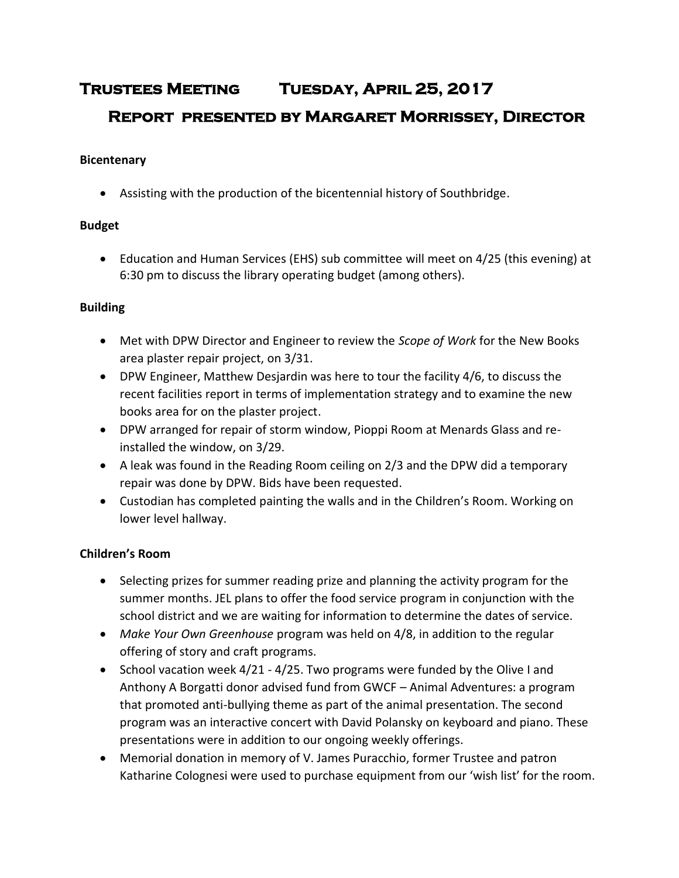# **Trustees Meeting Tuesday, April 25, 2017 Report presented by Margaret Morrissey, Director**

#### **Bicentenary**

Assisting with the production of the bicentennial history of Southbridge.

### **Budget**

 Education and Human Services (EHS) sub committee will meet on 4/25 (this evening) at 6:30 pm to discuss the library operating budget (among others).

#### **Building**

- Met with DPW Director and Engineer to review the *Scope of Work* for the New Books area plaster repair project, on 3/31.
- DPW Engineer, Matthew Desjardin was here to tour the facility 4/6, to discuss the recent facilities report in terms of implementation strategy and to examine the new books area for on the plaster project.
- DPW arranged for repair of storm window, Pioppi Room at Menards Glass and reinstalled the window, on 3/29.
- A leak was found in the Reading Room ceiling on 2/3 and the DPW did a temporary repair was done by DPW. Bids have been requested.
- Custodian has completed painting the walls and in the Children's Room. Working on lower level hallway.

# **Children's Room**

- Selecting prizes for summer reading prize and planning the activity program for the summer months. JEL plans to offer the food service program in conjunction with the school district and we are waiting for information to determine the dates of service.
- *Make Your Own Greenhouse* program was held on 4/8, in addition to the regular offering of story and craft programs.
- School vacation week 4/21 4/25. Two programs were funded by the Olive I and Anthony A Borgatti donor advised fund from GWCF – Animal Adventures: a program that promoted anti-bullying theme as part of the animal presentation. The second program was an interactive concert with David Polansky on keyboard and piano. These presentations were in addition to our ongoing weekly offerings.
- Memorial donation in memory of V. James Puracchio, former Trustee and patron Katharine Colognesi were used to purchase equipment from our 'wish list' for the room.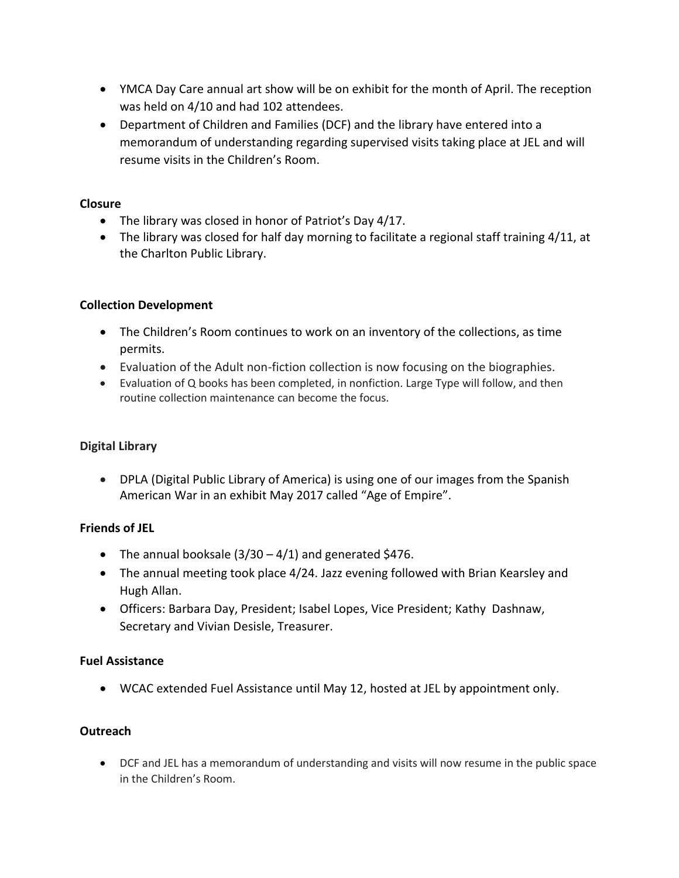- YMCA Day Care annual art show will be on exhibit for the month of April. The reception was held on 4/10 and had 102 attendees.
- Department of Children and Families (DCF) and the library have entered into a memorandum of understanding regarding supervised visits taking place at JEL and will resume visits in the Children's Room.

### **Closure**

- The library was closed in honor of Patriot's Day 4/17.
- The library was closed for half day morning to facilitate a regional staff training 4/11, at the Charlton Public Library.

# **Collection Development**

- The Children's Room continues to work on an inventory of the collections, as time permits.
- Evaluation of the Adult non-fiction collection is now focusing on the biographies.
- Evaluation of Q books has been completed, in nonfiction. Large Type will follow, and then routine collection maintenance can become the focus.

# **Digital Library**

 DPLA (Digital Public Library of America) is using one of our images from the Spanish American War in an exhibit May 2017 called "Age of Empire".

# **Friends of JEL**

- The annual booksale  $(3/30 4/1)$  and generated \$476.
- The annual meeting took place 4/24. Jazz evening followed with Brian Kearsley and Hugh Allan.
- Officers: Barbara Day, President; Isabel Lopes, Vice President; Kathy Dashnaw, Secretary and Vivian Desisle, Treasurer.

# **Fuel Assistance**

WCAC extended Fuel Assistance until May 12, hosted at JEL by appointment only.

# **Outreach**

 DCF and JEL has a memorandum of understanding and visits will now resume in the public space in the Children's Room.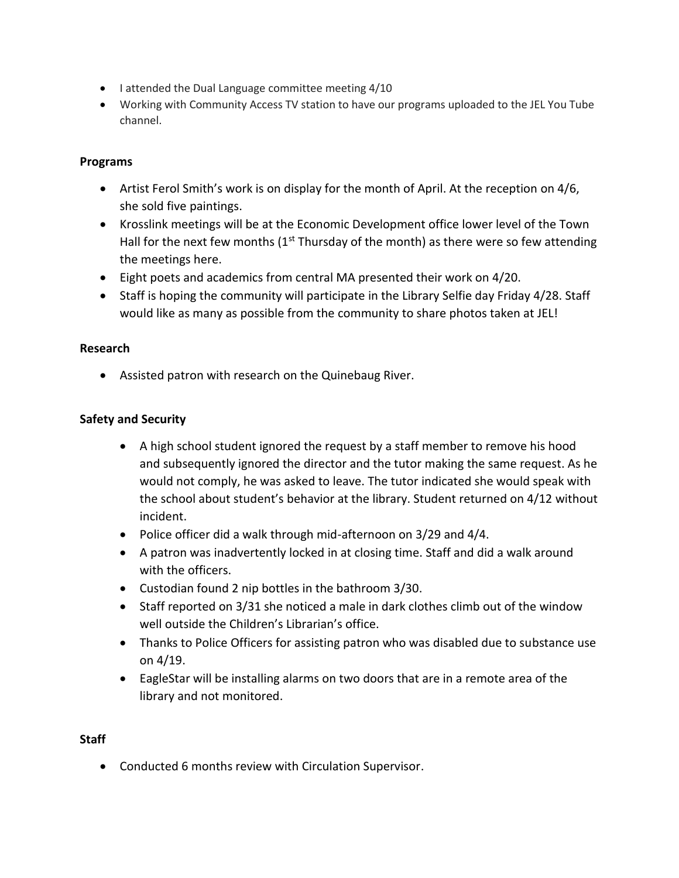- I attended the Dual Language committee meeting 4/10
- Working with Community Access TV station to have our programs uploaded to the JEL You Tube channel.

#### **Programs**

- Artist Ferol Smith's work is on display for the month of April. At the reception on 4/6, she sold five paintings.
- Krosslink meetings will be at the Economic Development office lower level of the Town Hall for the next few months  $(1<sup>st</sup> Thursday of the month)$  as there were so few attending the meetings here.
- Eight poets and academics from central MA presented their work on 4/20.
- Staff is hoping the community will participate in the Library Selfie day Friday 4/28. Staff would like as many as possible from the community to share photos taken at JEL!

#### **Research**

Assisted patron with research on the Quinebaug River.

#### **Safety and Security**

- A high school student ignored the request by a staff member to remove his hood and subsequently ignored the director and the tutor making the same request. As he would not comply, he was asked to leave. The tutor indicated she would speak with the school about student's behavior at the library. Student returned on 4/12 without incident.
- Police officer did a walk through mid-afternoon on 3/29 and 4/4.
- A patron was inadvertently locked in at closing time. Staff and did a walk around with the officers.
- Custodian found 2 nip bottles in the bathroom 3/30.
- Staff reported on 3/31 she noticed a male in dark clothes climb out of the window well outside the Children's Librarian's office.
- Thanks to Police Officers for assisting patron who was disabled due to substance use on 4/19.
- EagleStar will be installing alarms on two doors that are in a remote area of the library and not monitored.

#### **Staff**

Conducted 6 months review with Circulation Supervisor.